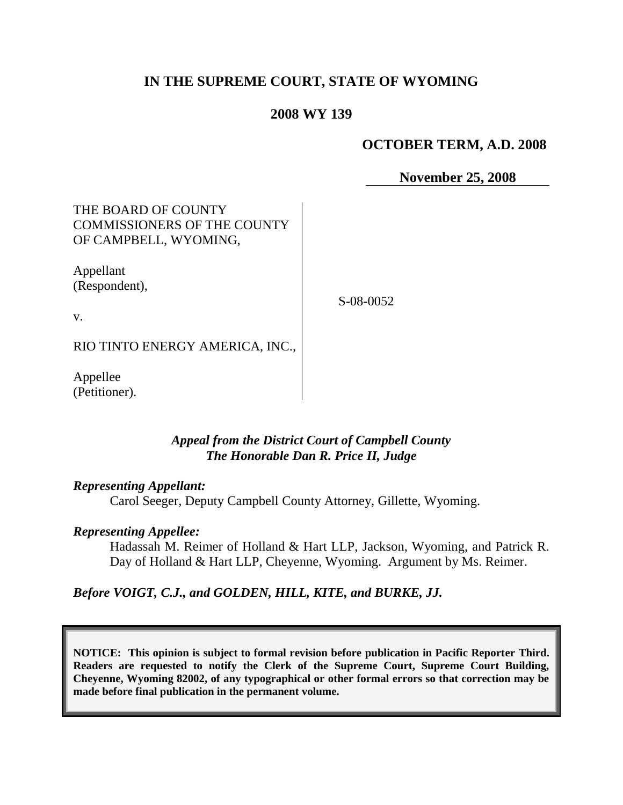# **IN THE SUPREME COURT, STATE OF WYOMING**

## **2008 WY 139**

### **OCTOBER TERM, A.D. 2008**

**November 25, 2008**

# THE BOARD OF COUNTY COMMISSIONERS OF THE COUNTY OF CAMPBELL, WYOMING,

Appellant (Respondent),

S-08-0052

v.

RIO TINTO ENERGY AMERICA, INC.,

Appellee (Petitioner).

## *Appeal from the District Court of Campbell County The Honorable Dan R. Price II, Judge*

#### *Representing Appellant:*

Carol Seeger, Deputy Campbell County Attorney, Gillette, Wyoming.

### *Representing Appellee:*

Hadassah M. Reimer of Holland & Hart LLP, Jackson, Wyoming, and Patrick R. Day of Holland & Hart LLP, Cheyenne, Wyoming. Argument by Ms. Reimer.

*Before VOIGT, C.J., and GOLDEN, HILL, KITE, and BURKE, JJ.*

**NOTICE: This opinion is subject to formal revision before publication in Pacific Reporter Third. Readers are requested to notify the Clerk of the Supreme Court, Supreme Court Building, Cheyenne, Wyoming 82002, of any typographical or other formal errors so that correction may be made before final publication in the permanent volume.**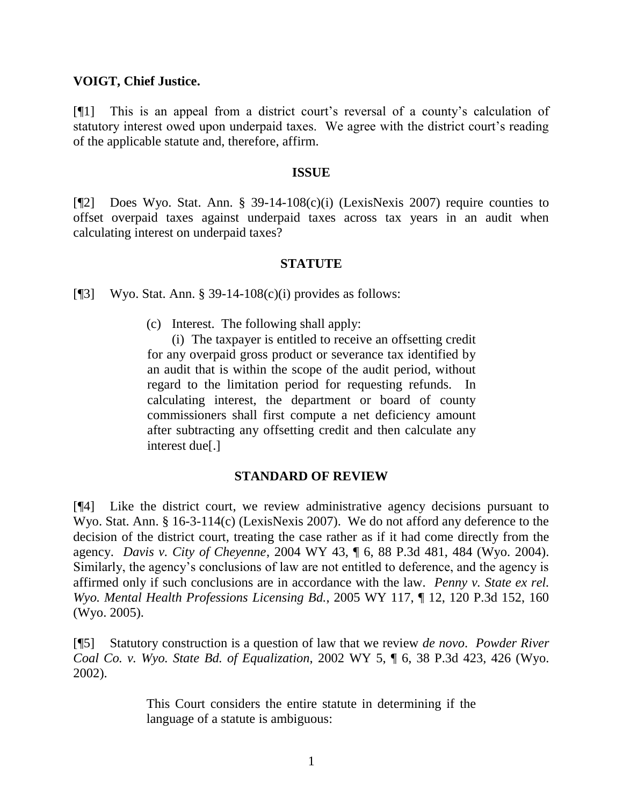### **VOIGT, Chief Justice.**

[¶1] This is an appeal from a district court's reversal of a county's calculation of statutory interest owed upon underpaid taxes. We agree with the district court's reading of the applicable statute and, therefore, affirm.

#### **ISSUE**

[¶2] Does Wyo. Stat. Ann. § 39-14-108(c)(i) (LexisNexis 2007) require counties to offset overpaid taxes against underpaid taxes across tax years in an audit when calculating interest on underpaid taxes?

### **STATUTE**

[ $[$ ]] Wyo. Stat. Ann. § 39-14-108 $(c)(i)$  provides as follows:

(c) Interest. The following shall apply:

(i) The taxpayer is entitled to receive an offsetting credit for any overpaid gross product or severance tax identified by an audit that is within the scope of the audit period, without regard to the limitation period for requesting refunds. In calculating interest, the department or board of county commissioners shall first compute a net deficiency amount after subtracting any offsetting credit and then calculate any interest due[.]

### **STANDARD OF REVIEW**

[¶4] Like the district court, we review administrative agency decisions pursuant to Wyo. Stat. Ann. § 16-3-114(c) (LexisNexis 2007). We do not afford any deference to the decision of the district court, treating the case rather as if it had come directly from the agency. *Davis v. City of Cheyenne*, 2004 WY 43, ¶ 6, 88 P.3d 481, 484 (Wyo. 2004). Similarly, the agency's conclusions of law are not entitled to deference, and the agency is affirmed only if such conclusions are in accordance with the law. *Penny v. State ex rel. Wyo. Mental Health Professions Licensing Bd.*, 2005 WY 117, ¶ 12, 120 P.3d 152, 160 (Wyo. 2005).

[¶5] Statutory construction is a question of law that we review *de novo*. *Powder River Coal Co. v. Wyo. State Bd. of Equalization*, 2002 WY 5, ¶ 6, 38 P.3d 423, 426 (Wyo. 2002).

> This Court considers the entire statute in determining if the language of a statute is ambiguous: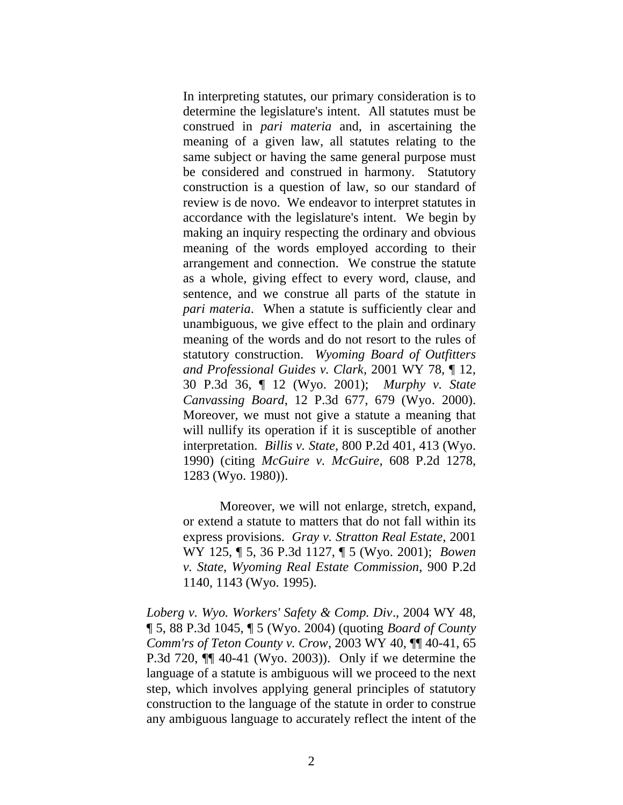In interpreting statutes, our primary consideration is to determine the legislature's intent. All statutes must be construed in *pari materia* and, in ascertaining the meaning of a given law, all statutes relating to the same subject or having the same general purpose must be considered and construed in harmony. Statutory construction is a question of law, so our standard of review is de novo. We endeavor to interpret statutes in accordance with the legislature's intent. We begin by making an inquiry respecting the ordinary and obvious meaning of the words employed according to their arrangement and connection. We construe the statute as a whole, giving effect to every word, clause, and sentence, and we construe all parts of the statute in *pari materia*. When a statute is sufficiently clear and unambiguous, we give effect to the plain and ordinary meaning of the words and do not resort to the rules of statutory construction. *Wyoming Board of Outfitters and Professional Guides v. Clark*, 2001 WY 78, ¶ 12, 30 P.3d 36, ¶ 12 (Wyo. 2001); *Murphy v. State Canvassing Board*, 12 P.3d 677, 679 (Wyo. 2000). Moreover, we must not give a statute a meaning that will nullify its operation if it is susceptible of another interpretation. *Billis v. State*, 800 P.2d 401, 413 (Wyo. 1990) (citing *McGuire v. McGuire*, 608 P.2d 1278, 1283 (Wyo. 1980)).

Moreover, we will not enlarge, stretch, expand, or extend a statute to matters that do not fall within its express provisions. *Gray v. Stratton Real Estate*, 2001 WY 125, ¶ 5, 36 P.3d 1127, ¶ 5 (Wyo. 2001); *Bowen v. State*, *Wyoming Real Estate Commission*, 900 P.2d 1140, 1143 (Wyo. 1995).

*Loberg v. Wyo. Workers' Safety & Comp. Div*., 2004 WY 48, ¶ 5, 88 P.3d 1045, ¶ 5 (Wyo. 2004) (quoting *Board of County Comm'rs of Teton County v. Crow*, 2003 WY 40, ¶¶ 40-41, 65 P.3d 720, ¶¶ 40-41 (Wyo. 2003)). Only if we determine the language of a statute is ambiguous will we proceed to the next step, which involves applying general principles of statutory construction to the language of the statute in order to construe any ambiguous language to accurately reflect the intent of the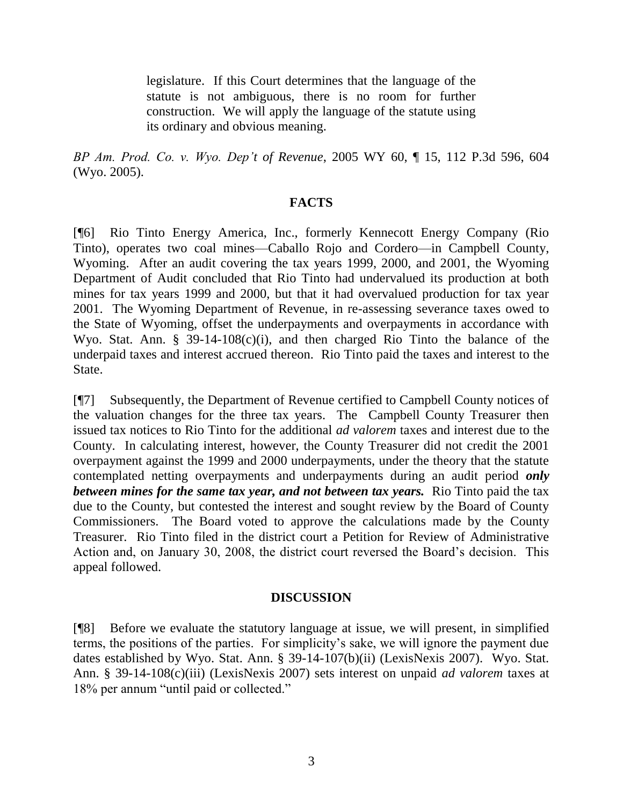legislature. If this Court determines that the language of the statute is not ambiguous, there is no room for further construction. We will apply the language of the statute using its ordinary and obvious meaning.

*BP Am. Prod. Co. v. Wyo. Dep't of Revenue*, 2005 WY 60, ¶ 15, 112 P.3d 596, 604 (Wyo. 2005).

## **FACTS**

[¶6] Rio Tinto Energy America, Inc., formerly Kennecott Energy Company (Rio Tinto), operates two coal mines—Caballo Rojo and Cordero—in Campbell County, Wyoming. After an audit covering the tax years 1999, 2000, and 2001, the Wyoming Department of Audit concluded that Rio Tinto had undervalued its production at both mines for tax years 1999 and 2000, but that it had overvalued production for tax year 2001. The Wyoming Department of Revenue, in re-assessing severance taxes owed to the State of Wyoming, offset the underpayments and overpayments in accordance with Wyo. Stat. Ann. § 39-14-108(c)(i), and then charged Rio Tinto the balance of the underpaid taxes and interest accrued thereon. Rio Tinto paid the taxes and interest to the State.

[¶7] Subsequently, the Department of Revenue certified to Campbell County notices of the valuation changes for the three tax years. The Campbell County Treasurer then issued tax notices to Rio Tinto for the additional *ad valorem* taxes and interest due to the County. In calculating interest, however, the County Treasurer did not credit the 2001 overpayment against the 1999 and 2000 underpayments, under the theory that the statute contemplated netting overpayments and underpayments during an audit period *only between mines for the same tax year, and not between tax years.* Rio Tinto paid the tax due to the County, but contested the interest and sought review by the Board of County Commissioners. The Board voted to approve the calculations made by the County Treasurer. Rio Tinto filed in the district court a Petition for Review of Administrative Action and, on January 30, 2008, the district court reversed the Board's decision. This appeal followed.

### **DISCUSSION**

[¶8] Before we evaluate the statutory language at issue, we will present, in simplified terms, the positions of the parties. For simplicity's sake, we will ignore the payment due dates established by Wyo. Stat. Ann. § 39-14-107(b)(ii) (LexisNexis 2007). Wyo. Stat. Ann. § 39-14-108(c)(iii) (LexisNexis 2007) sets interest on unpaid *ad valorem* taxes at 18% per annum "until paid or collected."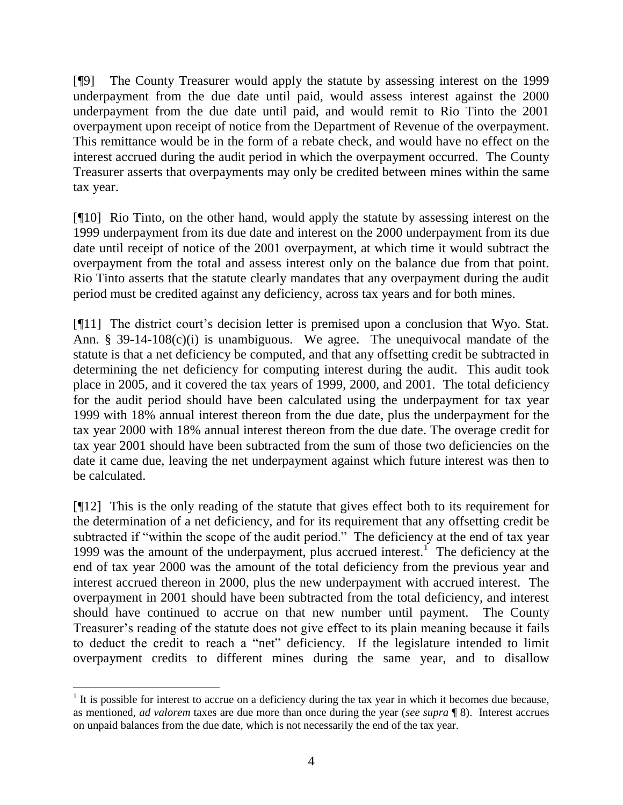[¶9] The County Treasurer would apply the statute by assessing interest on the 1999 underpayment from the due date until paid, would assess interest against the 2000 underpayment from the due date until paid, and would remit to Rio Tinto the 2001 overpayment upon receipt of notice from the Department of Revenue of the overpayment. This remittance would be in the form of a rebate check, and would have no effect on the interest accrued during the audit period in which the overpayment occurred. The County Treasurer asserts that overpayments may only be credited between mines within the same tax year.

[¶10] Rio Tinto, on the other hand, would apply the statute by assessing interest on the 1999 underpayment from its due date and interest on the 2000 underpayment from its due date until receipt of notice of the 2001 overpayment, at which time it would subtract the overpayment from the total and assess interest only on the balance due from that point. Rio Tinto asserts that the statute clearly mandates that any overpayment during the audit period must be credited against any deficiency, across tax years and for both mines.

[¶11] The district court's decision letter is premised upon a conclusion that Wyo. Stat. Ann. § 39-14-108(c)(i) is unambiguous. We agree. The unequivocal mandate of the statute is that a net deficiency be computed, and that any offsetting credit be subtracted in determining the net deficiency for computing interest during the audit. This audit took place in 2005, and it covered the tax years of 1999, 2000, and 2001. The total deficiency for the audit period should have been calculated using the underpayment for tax year 1999 with 18% annual interest thereon from the due date, plus the underpayment for the tax year 2000 with 18% annual interest thereon from the due date. The overage credit for tax year 2001 should have been subtracted from the sum of those two deficiencies on the date it came due, leaving the net underpayment against which future interest was then to be calculated.

[¶12] This is the only reading of the statute that gives effect both to its requirement for the determination of a net deficiency, and for its requirement that any offsetting credit be subtracted if "within the scope of the audit period." The deficiency at the end of tax year 1999 was the amount of the underpayment, plus accrued interest.<sup>1</sup> The deficiency at the end of tax year 2000 was the amount of the total deficiency from the previous year and interest accrued thereon in 2000, plus the new underpayment with accrued interest. The overpayment in 2001 should have been subtracted from the total deficiency, and interest should have continued to accrue on that new number until payment. The County Treasurer's reading of the statute does not give effect to its plain meaning because it fails to deduct the credit to reach a "net" deficiency. If the legislature intended to limit overpayment credits to different mines during the same year, and to disallow

  $<sup>1</sup>$  It is possible for interest to accrue on a deficiency during the tax year in which it becomes due because,</sup> as mentioned, *ad valorem* taxes are due more than once during the year (*see supra* ¶ 8). Interest accrues on unpaid balances from the due date, which is not necessarily the end of the tax year.